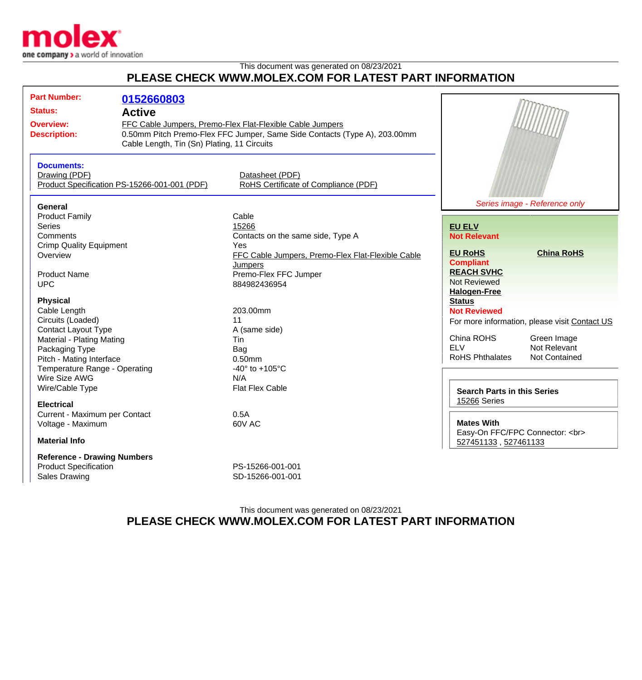

## This document was generated on 08/23/2021 **PLEASE CHECK WWW.MOLEX.COM FOR LATEST PART INFORMATION**

| <b>Active</b><br>FFC Cable Jumpers, Premo-Flex Flat-Flexible Cable Jumpers<br><b>Overview:</b><br>0.50mm Pitch Premo-Flex FFC Jumper, Same Side Contacts (Type A), 203.00mm<br><b>Description:</b><br>Cable Length, Tin (Sn) Plating, 11 Circuits<br><b>Documents:</b><br>Drawing (PDF)<br>Datasheet (PDF)<br>RoHS Certificate of Compliance (PDF)<br>Product Specification PS-15266-001-001 (PDF)<br>Series image - Reference only<br>General<br>Cable<br><b>Product Family</b><br>Series<br>15266<br><b>EU ELV</b><br>Comments<br>Contacts on the same side, Type A<br><b>Not Relevant</b><br><b>Crimp Quality Equipment</b><br>Yes<br><b>China RoHS</b><br><b>EU RoHS</b><br>FFC Cable Jumpers, Premo-Flex Flat-Flexible Cable<br>Overview<br><b>Compliant</b><br>Jumpers<br><b>REACH SVHC</b><br><b>Product Name</b><br>Premo-Flex FFC Jumper<br><b>Not Reviewed</b><br><b>UPC</b><br>884982436954<br><b>Halogen-Free</b><br><b>Physical</b><br><b>Status</b><br>Cable Length<br>203.00mm<br><b>Not Reviewed</b><br>Circuits (Loaded)<br>11<br>For more information, please visit Contact US<br><b>Contact Layout Type</b><br>A (same side)<br>China ROHS<br>Green Image<br>Material - Plating Mating<br>Tin<br>Not Relevant<br><b>ELV</b><br>Packaging Type<br>Bag<br><b>RoHS Phthalates</b><br><b>Not Contained</b><br>Pitch - Mating Interface<br>$0.50$ mm<br>Temperature Range - Operating<br>-40 $\degree$ to +105 $\degree$ C<br>Wire Size AWG<br>N/A<br>Wire/Cable Type<br>Flat Flex Cable<br><b>Search Parts in this Series</b><br>15266 Series<br><b>Electrical</b><br>0.5A<br>Current - Maximum per Contact<br><b>Mates With</b><br>60V AC<br>Voltage - Maximum<br>Easy-On FFC/FPC Connector:<br><br><b>Material Info</b><br>527451133, 527461133<br><b>Reference - Drawing Numbers</b><br><b>Product Specification</b><br>PS-15266-001-001<br><b>Sales Drawing</b><br>SD-15266-001-001 |                     |            |  |  |  |
|--------------------------------------------------------------------------------------------------------------------------------------------------------------------------------------------------------------------------------------------------------------------------------------------------------------------------------------------------------------------------------------------------------------------------------------------------------------------------------------------------------------------------------------------------------------------------------------------------------------------------------------------------------------------------------------------------------------------------------------------------------------------------------------------------------------------------------------------------------------------------------------------------------------------------------------------------------------------------------------------------------------------------------------------------------------------------------------------------------------------------------------------------------------------------------------------------------------------------------------------------------------------------------------------------------------------------------------------------------------------------------------------------------------------------------------------------------------------------------------------------------------------------------------------------------------------------------------------------------------------------------------------------------------------------------------------------------------------------------------------------------------------------------------------------------------------------------------------------------------------------------------------------------|---------------------|------------|--|--|--|
|                                                                                                                                                                                                                                                                                                                                                                                                                                                                                                                                                                                                                                                                                                                                                                                                                                                                                                                                                                                                                                                                                                                                                                                                                                                                                                                                                                                                                                                                                                                                                                                                                                                                                                                                                                                                                                                                                                        | <b>Part Number:</b> | 0152660803 |  |  |  |
|                                                                                                                                                                                                                                                                                                                                                                                                                                                                                                                                                                                                                                                                                                                                                                                                                                                                                                                                                                                                                                                                                                                                                                                                                                                                                                                                                                                                                                                                                                                                                                                                                                                                                                                                                                                                                                                                                                        | <b>Status:</b>      |            |  |  |  |
|                                                                                                                                                                                                                                                                                                                                                                                                                                                                                                                                                                                                                                                                                                                                                                                                                                                                                                                                                                                                                                                                                                                                                                                                                                                                                                                                                                                                                                                                                                                                                                                                                                                                                                                                                                                                                                                                                                        |                     |            |  |  |  |
|                                                                                                                                                                                                                                                                                                                                                                                                                                                                                                                                                                                                                                                                                                                                                                                                                                                                                                                                                                                                                                                                                                                                                                                                                                                                                                                                                                                                                                                                                                                                                                                                                                                                                                                                                                                                                                                                                                        |                     |            |  |  |  |
|                                                                                                                                                                                                                                                                                                                                                                                                                                                                                                                                                                                                                                                                                                                                                                                                                                                                                                                                                                                                                                                                                                                                                                                                                                                                                                                                                                                                                                                                                                                                                                                                                                                                                                                                                                                                                                                                                                        |                     |            |  |  |  |
|                                                                                                                                                                                                                                                                                                                                                                                                                                                                                                                                                                                                                                                                                                                                                                                                                                                                                                                                                                                                                                                                                                                                                                                                                                                                                                                                                                                                                                                                                                                                                                                                                                                                                                                                                                                                                                                                                                        |                     |            |  |  |  |
|                                                                                                                                                                                                                                                                                                                                                                                                                                                                                                                                                                                                                                                                                                                                                                                                                                                                                                                                                                                                                                                                                                                                                                                                                                                                                                                                                                                                                                                                                                                                                                                                                                                                                                                                                                                                                                                                                                        |                     |            |  |  |  |
|                                                                                                                                                                                                                                                                                                                                                                                                                                                                                                                                                                                                                                                                                                                                                                                                                                                                                                                                                                                                                                                                                                                                                                                                                                                                                                                                                                                                                                                                                                                                                                                                                                                                                                                                                                                                                                                                                                        |                     |            |  |  |  |
|                                                                                                                                                                                                                                                                                                                                                                                                                                                                                                                                                                                                                                                                                                                                                                                                                                                                                                                                                                                                                                                                                                                                                                                                                                                                                                                                                                                                                                                                                                                                                                                                                                                                                                                                                                                                                                                                                                        |                     |            |  |  |  |
|                                                                                                                                                                                                                                                                                                                                                                                                                                                                                                                                                                                                                                                                                                                                                                                                                                                                                                                                                                                                                                                                                                                                                                                                                                                                                                                                                                                                                                                                                                                                                                                                                                                                                                                                                                                                                                                                                                        |                     |            |  |  |  |
|                                                                                                                                                                                                                                                                                                                                                                                                                                                                                                                                                                                                                                                                                                                                                                                                                                                                                                                                                                                                                                                                                                                                                                                                                                                                                                                                                                                                                                                                                                                                                                                                                                                                                                                                                                                                                                                                                                        |                     |            |  |  |  |
|                                                                                                                                                                                                                                                                                                                                                                                                                                                                                                                                                                                                                                                                                                                                                                                                                                                                                                                                                                                                                                                                                                                                                                                                                                                                                                                                                                                                                                                                                                                                                                                                                                                                                                                                                                                                                                                                                                        |                     |            |  |  |  |
|                                                                                                                                                                                                                                                                                                                                                                                                                                                                                                                                                                                                                                                                                                                                                                                                                                                                                                                                                                                                                                                                                                                                                                                                                                                                                                                                                                                                                                                                                                                                                                                                                                                                                                                                                                                                                                                                                                        |                     |            |  |  |  |
|                                                                                                                                                                                                                                                                                                                                                                                                                                                                                                                                                                                                                                                                                                                                                                                                                                                                                                                                                                                                                                                                                                                                                                                                                                                                                                                                                                                                                                                                                                                                                                                                                                                                                                                                                                                                                                                                                                        |                     |            |  |  |  |
|                                                                                                                                                                                                                                                                                                                                                                                                                                                                                                                                                                                                                                                                                                                                                                                                                                                                                                                                                                                                                                                                                                                                                                                                                                                                                                                                                                                                                                                                                                                                                                                                                                                                                                                                                                                                                                                                                                        |                     |            |  |  |  |
|                                                                                                                                                                                                                                                                                                                                                                                                                                                                                                                                                                                                                                                                                                                                                                                                                                                                                                                                                                                                                                                                                                                                                                                                                                                                                                                                                                                                                                                                                                                                                                                                                                                                                                                                                                                                                                                                                                        |                     |            |  |  |  |
|                                                                                                                                                                                                                                                                                                                                                                                                                                                                                                                                                                                                                                                                                                                                                                                                                                                                                                                                                                                                                                                                                                                                                                                                                                                                                                                                                                                                                                                                                                                                                                                                                                                                                                                                                                                                                                                                                                        |                     |            |  |  |  |
|                                                                                                                                                                                                                                                                                                                                                                                                                                                                                                                                                                                                                                                                                                                                                                                                                                                                                                                                                                                                                                                                                                                                                                                                                                                                                                                                                                                                                                                                                                                                                                                                                                                                                                                                                                                                                                                                                                        |                     |            |  |  |  |
|                                                                                                                                                                                                                                                                                                                                                                                                                                                                                                                                                                                                                                                                                                                                                                                                                                                                                                                                                                                                                                                                                                                                                                                                                                                                                                                                                                                                                                                                                                                                                                                                                                                                                                                                                                                                                                                                                                        |                     |            |  |  |  |
|                                                                                                                                                                                                                                                                                                                                                                                                                                                                                                                                                                                                                                                                                                                                                                                                                                                                                                                                                                                                                                                                                                                                                                                                                                                                                                                                                                                                                                                                                                                                                                                                                                                                                                                                                                                                                                                                                                        |                     |            |  |  |  |
|                                                                                                                                                                                                                                                                                                                                                                                                                                                                                                                                                                                                                                                                                                                                                                                                                                                                                                                                                                                                                                                                                                                                                                                                                                                                                                                                                                                                                                                                                                                                                                                                                                                                                                                                                                                                                                                                                                        |                     |            |  |  |  |
|                                                                                                                                                                                                                                                                                                                                                                                                                                                                                                                                                                                                                                                                                                                                                                                                                                                                                                                                                                                                                                                                                                                                                                                                                                                                                                                                                                                                                                                                                                                                                                                                                                                                                                                                                                                                                                                                                                        |                     |            |  |  |  |
|                                                                                                                                                                                                                                                                                                                                                                                                                                                                                                                                                                                                                                                                                                                                                                                                                                                                                                                                                                                                                                                                                                                                                                                                                                                                                                                                                                                                                                                                                                                                                                                                                                                                                                                                                                                                                                                                                                        |                     |            |  |  |  |
|                                                                                                                                                                                                                                                                                                                                                                                                                                                                                                                                                                                                                                                                                                                                                                                                                                                                                                                                                                                                                                                                                                                                                                                                                                                                                                                                                                                                                                                                                                                                                                                                                                                                                                                                                                                                                                                                                                        |                     |            |  |  |  |
|                                                                                                                                                                                                                                                                                                                                                                                                                                                                                                                                                                                                                                                                                                                                                                                                                                                                                                                                                                                                                                                                                                                                                                                                                                                                                                                                                                                                                                                                                                                                                                                                                                                                                                                                                                                                                                                                                                        |                     |            |  |  |  |
|                                                                                                                                                                                                                                                                                                                                                                                                                                                                                                                                                                                                                                                                                                                                                                                                                                                                                                                                                                                                                                                                                                                                                                                                                                                                                                                                                                                                                                                                                                                                                                                                                                                                                                                                                                                                                                                                                                        |                     |            |  |  |  |
|                                                                                                                                                                                                                                                                                                                                                                                                                                                                                                                                                                                                                                                                                                                                                                                                                                                                                                                                                                                                                                                                                                                                                                                                                                                                                                                                                                                                                                                                                                                                                                                                                                                                                                                                                                                                                                                                                                        |                     |            |  |  |  |
|                                                                                                                                                                                                                                                                                                                                                                                                                                                                                                                                                                                                                                                                                                                                                                                                                                                                                                                                                                                                                                                                                                                                                                                                                                                                                                                                                                                                                                                                                                                                                                                                                                                                                                                                                                                                                                                                                                        |                     |            |  |  |  |
|                                                                                                                                                                                                                                                                                                                                                                                                                                                                                                                                                                                                                                                                                                                                                                                                                                                                                                                                                                                                                                                                                                                                                                                                                                                                                                                                                                                                                                                                                                                                                                                                                                                                                                                                                                                                                                                                                                        |                     |            |  |  |  |
|                                                                                                                                                                                                                                                                                                                                                                                                                                                                                                                                                                                                                                                                                                                                                                                                                                                                                                                                                                                                                                                                                                                                                                                                                                                                                                                                                                                                                                                                                                                                                                                                                                                                                                                                                                                                                                                                                                        |                     |            |  |  |  |
|                                                                                                                                                                                                                                                                                                                                                                                                                                                                                                                                                                                                                                                                                                                                                                                                                                                                                                                                                                                                                                                                                                                                                                                                                                                                                                                                                                                                                                                                                                                                                                                                                                                                                                                                                                                                                                                                                                        |                     |            |  |  |  |
|                                                                                                                                                                                                                                                                                                                                                                                                                                                                                                                                                                                                                                                                                                                                                                                                                                                                                                                                                                                                                                                                                                                                                                                                                                                                                                                                                                                                                                                                                                                                                                                                                                                                                                                                                                                                                                                                                                        |                     |            |  |  |  |
|                                                                                                                                                                                                                                                                                                                                                                                                                                                                                                                                                                                                                                                                                                                                                                                                                                                                                                                                                                                                                                                                                                                                                                                                                                                                                                                                                                                                                                                                                                                                                                                                                                                                                                                                                                                                                                                                                                        |                     |            |  |  |  |
|                                                                                                                                                                                                                                                                                                                                                                                                                                                                                                                                                                                                                                                                                                                                                                                                                                                                                                                                                                                                                                                                                                                                                                                                                                                                                                                                                                                                                                                                                                                                                                                                                                                                                                                                                                                                                                                                                                        |                     |            |  |  |  |
|                                                                                                                                                                                                                                                                                                                                                                                                                                                                                                                                                                                                                                                                                                                                                                                                                                                                                                                                                                                                                                                                                                                                                                                                                                                                                                                                                                                                                                                                                                                                                                                                                                                                                                                                                                                                                                                                                                        |                     |            |  |  |  |
|                                                                                                                                                                                                                                                                                                                                                                                                                                                                                                                                                                                                                                                                                                                                                                                                                                                                                                                                                                                                                                                                                                                                                                                                                                                                                                                                                                                                                                                                                                                                                                                                                                                                                                                                                                                                                                                                                                        |                     |            |  |  |  |
|                                                                                                                                                                                                                                                                                                                                                                                                                                                                                                                                                                                                                                                                                                                                                                                                                                                                                                                                                                                                                                                                                                                                                                                                                                                                                                                                                                                                                                                                                                                                                                                                                                                                                                                                                                                                                                                                                                        |                     |            |  |  |  |
|                                                                                                                                                                                                                                                                                                                                                                                                                                                                                                                                                                                                                                                                                                                                                                                                                                                                                                                                                                                                                                                                                                                                                                                                                                                                                                                                                                                                                                                                                                                                                                                                                                                                                                                                                                                                                                                                                                        |                     |            |  |  |  |
|                                                                                                                                                                                                                                                                                                                                                                                                                                                                                                                                                                                                                                                                                                                                                                                                                                                                                                                                                                                                                                                                                                                                                                                                                                                                                                                                                                                                                                                                                                                                                                                                                                                                                                                                                                                                                                                                                                        |                     |            |  |  |  |

## This document was generated on 08/23/2021 **PLEASE CHECK WWW.MOLEX.COM FOR LATEST PART INFORMATION**